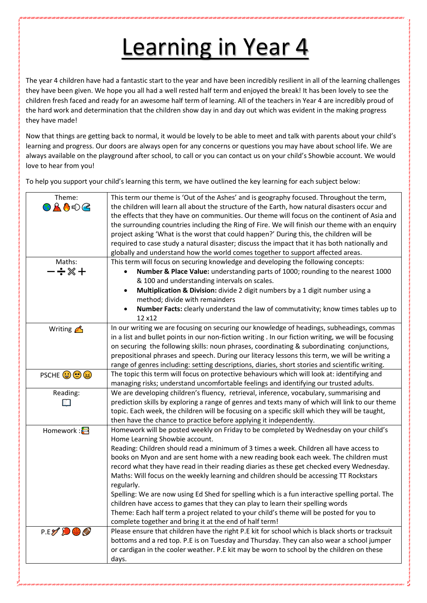## Learning in Year 4

The year 4 children have had a fantastic start to the year and have been incredibly resilient in all of the learning challenges they have been given. We hope you all had a well rested half term and enjoyed the break! It has been lovely to see the children fresh faced and ready for an awesome half term of learning. All of the teachers in Year 4 are incredibly proud of the hard work and determination that the children show day in and day out which was evident in the making progress they have made!

Now that things are getting back to normal, it would be lovely to be able to meet and talk with parents about your child's learning and progress. Our doors are always open for any concerns or questions you may have about school life. We are always available on the playground after school, to call or you can contact us on your child's Showbie account. We would love to hear from you!

To help you support your child's learning this term, we have outlined the key learning for each subject below:

| Theme:<br>OLO€C<br>Maths:<br>$-\div\otimes +$ | This term our theme is 'Out of the Ashes' and is geography focused. Throughout the term,<br>the children will learn all about the structure of the Earth, how natural disasters occur and<br>the effects that they have on communities. Our theme will focus on the continent of Asia and<br>the surrounding countries including the Ring of Fire. We will finish our theme with an enquiry<br>project asking 'What is the worst that could happen?' During this, the children will be<br>required to case study a natural disaster; discuss the impact that it has both nationally and<br>globally and understand how the world comes together to support affected areas.<br>This term will focus on securing knowledge and developing the following concepts:<br>Number & Place Value: understanding parts of 1000; rounding to the nearest 1000<br>& 100 and understanding intervals on scales.<br>Multiplication & Division: divide 2 digit numbers by a 1 digit number using a<br>$\bullet$ |
|-----------------------------------------------|--------------------------------------------------------------------------------------------------------------------------------------------------------------------------------------------------------------------------------------------------------------------------------------------------------------------------------------------------------------------------------------------------------------------------------------------------------------------------------------------------------------------------------------------------------------------------------------------------------------------------------------------------------------------------------------------------------------------------------------------------------------------------------------------------------------------------------------------------------------------------------------------------------------------------------------------------------------------------------------------------|
|                                               |                                                                                                                                                                                                                                                                                                                                                                                                                                                                                                                                                                                                                                                                                                                                                                                                                                                                                                                                                                                                  |
|                                               |                                                                                                                                                                                                                                                                                                                                                                                                                                                                                                                                                                                                                                                                                                                                                                                                                                                                                                                                                                                                  |
|                                               |                                                                                                                                                                                                                                                                                                                                                                                                                                                                                                                                                                                                                                                                                                                                                                                                                                                                                                                                                                                                  |
|                                               |                                                                                                                                                                                                                                                                                                                                                                                                                                                                                                                                                                                                                                                                                                                                                                                                                                                                                                                                                                                                  |
|                                               |                                                                                                                                                                                                                                                                                                                                                                                                                                                                                                                                                                                                                                                                                                                                                                                                                                                                                                                                                                                                  |
|                                               | method; divide with remainders                                                                                                                                                                                                                                                                                                                                                                                                                                                                                                                                                                                                                                                                                                                                                                                                                                                                                                                                                                   |
|                                               | Number Facts: clearly understand the law of commutativity; know times tables up to<br>$\bullet$                                                                                                                                                                                                                                                                                                                                                                                                                                                                                                                                                                                                                                                                                                                                                                                                                                                                                                  |
|                                               | 12 x12                                                                                                                                                                                                                                                                                                                                                                                                                                                                                                                                                                                                                                                                                                                                                                                                                                                                                                                                                                                           |
| Writing $\triangle$                           | In our writing we are focusing on securing our knowledge of headings, subheadings, commas<br>in a list and bullet points in our non-fiction writing . In our fiction writing, we will be focusing<br>on securing the following skills: noun phrases, coordinating & subordinating conjunctions,<br>prepositional phrases and speech. During our literacy lessons this term, we will be writing a<br>range of genres including: setting descriptions, diaries, short stories and scientific writing.                                                                                                                                                                                                                                                                                                                                                                                                                                                                                              |
| PSCHE OOO                                     | The topic this term will focus on protective behaviours which will look at: identifying and                                                                                                                                                                                                                                                                                                                                                                                                                                                                                                                                                                                                                                                                                                                                                                                                                                                                                                      |
|                                               | managing risks; understand uncomfortable feelings and identifying our trusted adults.                                                                                                                                                                                                                                                                                                                                                                                                                                                                                                                                                                                                                                                                                                                                                                                                                                                                                                            |
| Reading:                                      | We are developing children's fluency, retrieval, inference, vocabulary, summarising and                                                                                                                                                                                                                                                                                                                                                                                                                                                                                                                                                                                                                                                                                                                                                                                                                                                                                                          |
|                                               | prediction skills by exploring a range of genres and texts many of which will link to our theme                                                                                                                                                                                                                                                                                                                                                                                                                                                                                                                                                                                                                                                                                                                                                                                                                                                                                                  |
|                                               | topic. Each week, the children will be focusing on a specific skill which they will be taught,                                                                                                                                                                                                                                                                                                                                                                                                                                                                                                                                                                                                                                                                                                                                                                                                                                                                                                   |
|                                               | then have the chance to practice before applying it independently.                                                                                                                                                                                                                                                                                                                                                                                                                                                                                                                                                                                                                                                                                                                                                                                                                                                                                                                               |
| Homework : <mark>금</mark>                     | Homework will be posted weekly on Friday to be completed by Wednesday on your child's<br>Home Learning Showbie account.                                                                                                                                                                                                                                                                                                                                                                                                                                                                                                                                                                                                                                                                                                                                                                                                                                                                          |
|                                               | Reading: Children should read a minimum of 3 times a week. Children all have access to                                                                                                                                                                                                                                                                                                                                                                                                                                                                                                                                                                                                                                                                                                                                                                                                                                                                                                           |
|                                               | books on Myon and are sent home with a new reading book each week. The children must                                                                                                                                                                                                                                                                                                                                                                                                                                                                                                                                                                                                                                                                                                                                                                                                                                                                                                             |
|                                               | record what they have read in their reading diaries as these get checked every Wednesday.                                                                                                                                                                                                                                                                                                                                                                                                                                                                                                                                                                                                                                                                                                                                                                                                                                                                                                        |
|                                               | Maths: Will focus on the weekly learning and children should be accessing TT Rockstars                                                                                                                                                                                                                                                                                                                                                                                                                                                                                                                                                                                                                                                                                                                                                                                                                                                                                                           |
|                                               | regularly.                                                                                                                                                                                                                                                                                                                                                                                                                                                                                                                                                                                                                                                                                                                                                                                                                                                                                                                                                                                       |
|                                               | Spelling: We are now using Ed Shed for spelling which is a fun interactive spelling portal. The                                                                                                                                                                                                                                                                                                                                                                                                                                                                                                                                                                                                                                                                                                                                                                                                                                                                                                  |
|                                               | children have access to games that they can play to learn their spelling words                                                                                                                                                                                                                                                                                                                                                                                                                                                                                                                                                                                                                                                                                                                                                                                                                                                                                                                   |
|                                               | Theme: Each half term a project related to your child's theme will be posted for you to                                                                                                                                                                                                                                                                                                                                                                                                                                                                                                                                                                                                                                                                                                                                                                                                                                                                                                          |
|                                               | complete together and bring it at the end of half term!                                                                                                                                                                                                                                                                                                                                                                                                                                                                                                                                                                                                                                                                                                                                                                                                                                                                                                                                          |
| P.E. DO                                       | Please ensure that children have the right P.E kit for school which is black shorts or tracksuit                                                                                                                                                                                                                                                                                                                                                                                                                                                                                                                                                                                                                                                                                                                                                                                                                                                                                                 |
|                                               | bottoms and a red top. P.E is on Tuesday and Thursday. They can also wear a school jumper                                                                                                                                                                                                                                                                                                                                                                                                                                                                                                                                                                                                                                                                                                                                                                                                                                                                                                        |
|                                               | or cardigan in the cooler weather. P.E kit may be worn to school by the children on these                                                                                                                                                                                                                                                                                                                                                                                                                                                                                                                                                                                                                                                                                                                                                                                                                                                                                                        |
|                                               | days.                                                                                                                                                                                                                                                                                                                                                                                                                                                                                                                                                                                                                                                                                                                                                                                                                                                                                                                                                                                            |